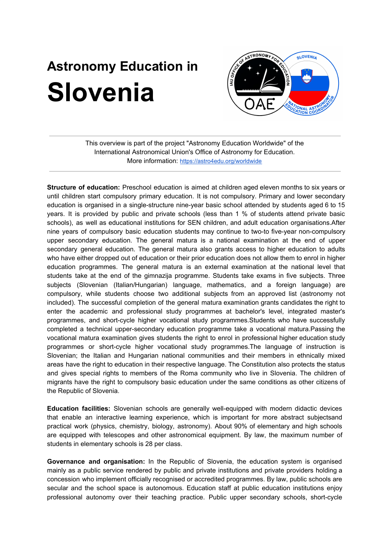## **Astronomy Education in Slovenia**



This overview is part of the project "Astronomy Education Worldwide" of the International Astronomical Union's Office of Astronomy for Education. More information: <https://astro4edu.org/worldwide>

**Structure of education:** Preschool education is aimed at children aged eleven months to six years or until children start compulsory primary education. It is not compulsory. Primary and lower secondary education is organised in a single-structure nine-year basic school attended by students aged 6 to 15 years. It is provided by public and private schools (less than 1 % of students attend private basic schools), as well as educational institutions for SEN children, and adult education organisations.After nine years of compulsory basic education students may continue to two-to five-year non-compulsory upper secondary education. The general matura is a national examination at the end of upper secondary general education. The general matura also grants access to higher education to adults who have either dropped out of education or their prior education does not allow them to enrol in higher education programmes. The general matura is an external examination at the national level that students take at the end of the gimnazija programme. Students take exams in five subjects. Three subjects (Slovenian (Italian/Hungarian) language, mathematics, and a foreign language) are compulsory, while students choose two additional subjects from an approved list (astronomy not included). The successful completion of the general matura examination grants candidates the right to enter the academic and professional study programmes at bachelor's level, integrated master's programmes, and short-cycle higher vocational study programmes.Students who have successfully completed a technical upper-secondary education programme take a vocational matura.Passing the vocational matura examination gives students the right to enrol in professional higher education study programmes or short-cycle higher vocational study programmes.The language of instruction is Slovenian; the Italian and Hungarian national communities and their members in ethnically mixed areas have the right to education in their respective language. The Constitution also protects the status and gives special rights to members of the Roma community who live in Slovenia. The children of migrants have the right to compulsory basic education under the same conditions as other citizens of the Republic of Slovenia.

**Education facilities:** Slovenian schools are generally well-equipped with modern didactic devices that enable an interactive learning experience, which is important for more abstract subjectsand practical work (physics, chemistry, biology, astronomy). About 90% of elementary and high schools are equipped with telescopes and other astronomical equipment. By law, the maximum number of students in elementary schools is 28 per class.

**Governance and organisation:** In the Republic of Slovenia, the education system is organised mainly as a public service rendered by public and private institutions and private providers holding a concession who implement officially recognised or accredited programmes. By law, public schools are secular and the school space is autonomous. Education staff at public education institutions enjoy professional autonomy over their teaching practice. Public upper secondary schools, short-cycle